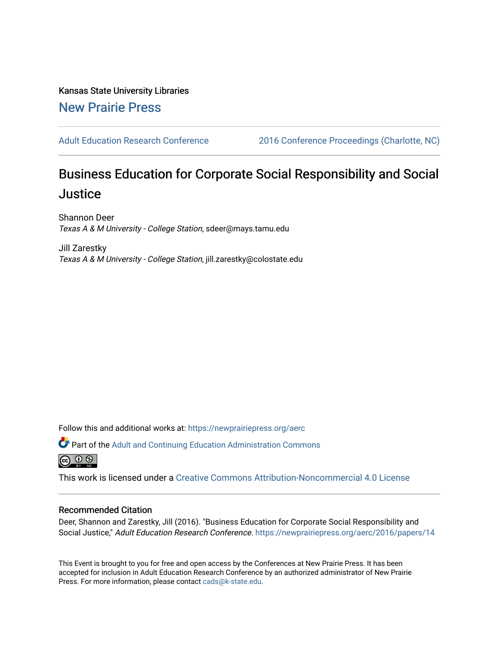Kansas State University Libraries [New Prairie Press](https://newprairiepress.org/) 

[Adult Education Research Conference](https://newprairiepress.org/aerc) [2016 Conference Proceedings \(Charlotte, NC\)](https://newprairiepress.org/aerc/2016) 

# Business Education for Corporate Social Responsibility and Social **Justice**

Shannon Deer Texas A & M University - College Station, sdeer@mays.tamu.edu

Jill Zarestky Texas A & M University - College Station, jill.zarestky@colostate.edu

Follow this and additional works at: [https://newprairiepress.org/aerc](https://newprairiepress.org/aerc?utm_source=newprairiepress.org%2Faerc%2F2016%2Fpapers%2F14&utm_medium=PDF&utm_campaign=PDFCoverPages)

Part of the [Adult and Continuing Education Administration Commons](http://network.bepress.com/hgg/discipline/789?utm_source=newprairiepress.org%2Faerc%2F2016%2Fpapers%2F14&utm_medium=PDF&utm_campaign=PDFCoverPages) @ 0 ®

This work is licensed under a [Creative Commons Attribution-Noncommercial 4.0 License](https://creativecommons.org/licenses/by-nc/4.0/)

#### Recommended Citation

Deer, Shannon and Zarestky, Jill (2016). "Business Education for Corporate Social Responsibility and Social Justice," Adult Education Research Conference.<https://newprairiepress.org/aerc/2016/papers/14>

This Event is brought to you for free and open access by the Conferences at New Prairie Press. It has been accepted for inclusion in Adult Education Research Conference by an authorized administrator of New Prairie Press. For more information, please contact [cads@k-state.edu.](mailto:cads@k-state.edu)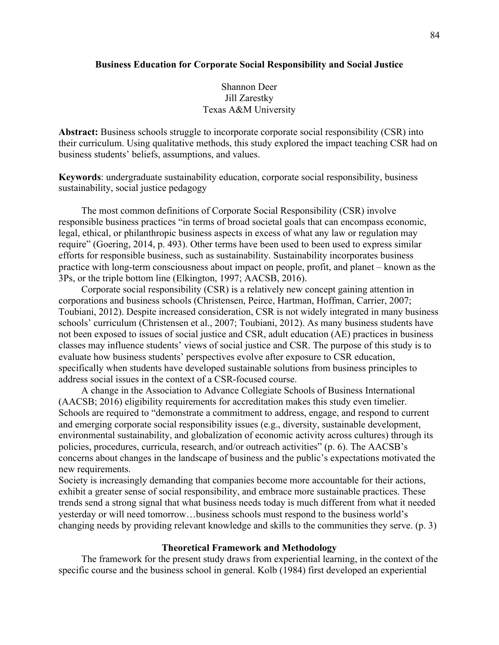## **Business Education for Corporate Social Responsibility and Social Justice**

# Shannon Deer Jill Zarestky Texas A&M University

**Abstract:** Business schools struggle to incorporate corporate social responsibility (CSR) into their curriculum. Using qualitative methods, this study explored the impact teaching CSR had on business students' beliefs, assumptions, and values.

**Keywords**: undergraduate sustainability education, corporate social responsibility, business sustainability, social justice pedagogy

The most common definitions of Corporate Social Responsibility (CSR) involve responsible business practices "in terms of broad societal goals that can encompass economic, legal, ethical, or philanthropic business aspects in excess of what any law or regulation may require" (Goering, 2014, p. 493). Other terms have been used to been used to express similar efforts for responsible business, such as sustainability. Sustainability incorporates business practice with long-term consciousness about impact on people, profit, and planet – known as the 3Ps, or the triple bottom line (Elkington, 1997; AACSB, 2016).

Corporate social responsibility (CSR) is a relatively new concept gaining attention in corporations and business schools (Christensen, Peirce, Hartman, Hoffman, Carrier, 2007; Toubiani, 2012). Despite increased consideration, CSR is not widely integrated in many business schools' curriculum (Christensen et al., 2007; Toubiani, 2012). As many business students have not been exposed to issues of social justice and CSR, adult education (AE) practices in business classes may influence students' views of social justice and CSR. The purpose of this study is to evaluate how business students' perspectives evolve after exposure to CSR education, specifically when students have developed sustainable solutions from business principles to address social issues in the context of a CSR-focused course.

A change in the Association to Advance Collegiate Schools of Business International (AACSB; 2016) eligibility requirements for accreditation makes this study even timelier. Schools are required to "demonstrate a commitment to address, engage, and respond to current and emerging corporate social responsibility issues (e.g., diversity, sustainable development, environmental sustainability, and globalization of economic activity across cultures) through its policies, procedures, curricula, research, and/or outreach activities" (p. 6). The AACSB's concerns about changes in the landscape of business and the public's expectations motivated the new requirements.

Society is increasingly demanding that companies become more accountable for their actions, exhibit a greater sense of social responsibility, and embrace more sustainable practices. These trends send a strong signal that what business needs today is much different from what it needed yesterday or will need tomorrow…business schools must respond to the business world's changing needs by providing relevant knowledge and skills to the communities they serve. (p. 3)

### **Theoretical Framework and Methodology**

The framework for the present study draws from experiential learning, in the context of the specific course and the business school in general. Kolb (1984) first developed an experiential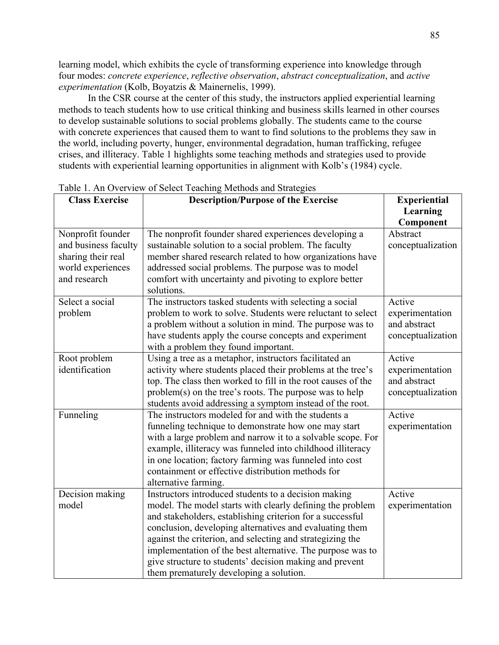learning model, which exhibits the cycle of transforming experience into knowledge through four modes: *concrete experience*, *reflective observation*, *abstract conceptualization*, and *active experimentation* (Kolb, Boyatzis & Mainernelis, 1999).

In the CSR course at the center of this study, the instructors applied experiential learning methods to teach students how to use critical thinking and business skills learned in other courses to develop sustainable solutions to social problems globally. The students came to the course with concrete experiences that caused them to want to find solutions to the problems they saw in the world, including poverty, hunger, environmental degradation, human trafficking, refugee crises, and illiteracy. Table 1 highlights some teaching methods and strategies used to provide students with experiential learning opportunities in alignment with Kolb's (1984) cycle.

| <b>Class Exercise</b> | radio 1. All Overview of Scient Teaching Methods and Strategies<br><b>Description/Purpose of the Exercise</b> | <b>Experiential</b> |
|-----------------------|---------------------------------------------------------------------------------------------------------------|---------------------|
|                       |                                                                                                               | Learning            |
|                       |                                                                                                               | Component           |
| Nonprofit founder     | The nonprofit founder shared experiences developing a                                                         | Abstract            |
| and business faculty  | sustainable solution to a social problem. The faculty                                                         | conceptualization   |
| sharing their real    | member shared research related to how organizations have                                                      |                     |
| world experiences     | addressed social problems. The purpose was to model                                                           |                     |
| and research          | comfort with uncertainty and pivoting to explore better                                                       |                     |
|                       | solutions.                                                                                                    |                     |
| Select a social       | The instructors tasked students with selecting a social                                                       | Active              |
| problem               | problem to work to solve. Students were reluctant to select                                                   | experimentation     |
|                       | a problem without a solution in mind. The purpose was to                                                      | and abstract        |
|                       | have students apply the course concepts and experiment                                                        | conceptualization   |
|                       | with a problem they found important.                                                                          |                     |
| Root problem          | Using a tree as a metaphor, instructors facilitated an                                                        | Active              |
| identification        | activity where students placed their problems at the tree's                                                   | experimentation     |
|                       | top. The class then worked to fill in the root causes of the                                                  | and abstract        |
|                       | problem(s) on the tree's roots. The purpose was to help                                                       | conceptualization   |
|                       | students avoid addressing a symptom instead of the root.                                                      |                     |
| Funneling             | The instructors modeled for and with the students a                                                           | Active              |
|                       | funneling technique to demonstrate how one may start                                                          | experimentation     |
|                       | with a large problem and narrow it to a solvable scope. For                                                   |                     |
|                       | example, illiteracy was funneled into childhood illiteracy                                                    |                     |
|                       | in one location; factory farming was funneled into cost                                                       |                     |
|                       | containment or effective distribution methods for                                                             |                     |
|                       | alternative farming.                                                                                          |                     |
| Decision making       | Instructors introduced students to a decision making                                                          | Active              |
| model                 | model. The model starts with clearly defining the problem                                                     | experimentation     |
|                       | and stakeholders, establishing criterion for a successful                                                     |                     |
|                       | conclusion, developing alternatives and evaluating them                                                       |                     |
|                       | against the criterion, and selecting and strategizing the                                                     |                     |
|                       | implementation of the best alternative. The purpose was to                                                    |                     |
|                       | give structure to students' decision making and prevent                                                       |                     |
|                       | them prematurely developing a solution.                                                                       |                     |

Table 1. An Overview of Select Teaching Methods and Strategies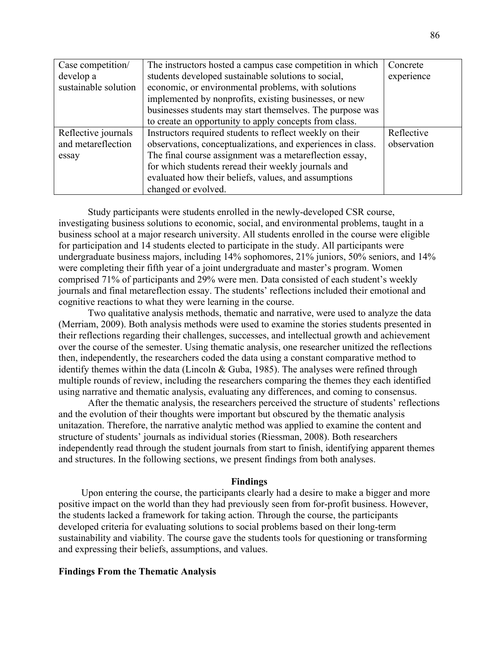| Case competition/    | The instructors hosted a campus case competition in which   | Concrete    |
|----------------------|-------------------------------------------------------------|-------------|
| develop a            | students developed sustainable solutions to social,         | experience  |
| sustainable solution | economic, or environmental problems, with solutions         |             |
|                      | implemented by nonprofits, existing businesses, or new      |             |
|                      | businesses students may start themselves. The purpose was   |             |
|                      | to create an opportunity to apply concepts from class.      |             |
| Reflective journals  | Instructors required students to reflect weekly on their    | Reflective  |
| and metareflection   | observations, conceptualizations, and experiences in class. | observation |
| essay                | The final course assignment was a metareflection essay,     |             |
|                      | for which students reread their weekly journals and         |             |
|                      | evaluated how their beliefs, values, and assumptions        |             |
|                      | changed or evolved.                                         |             |

Study participants were students enrolled in the newly-developed CSR course, investigating business solutions to economic, social, and environmental problems, taught in a business school at a major research university. All students enrolled in the course were eligible for participation and 14 students elected to participate in the study. All participants were undergraduate business majors, including 14% sophomores, 21% juniors, 50% seniors, and 14% were completing their fifth year of a joint undergraduate and master's program. Women comprised 71% of participants and 29% were men. Data consisted of each student's weekly journals and final metareflection essay. The students' reflections included their emotional and cognitive reactions to what they were learning in the course.

Two qualitative analysis methods, thematic and narrative, were used to analyze the data (Merriam, 2009). Both analysis methods were used to examine the stories students presented in their reflections regarding their challenges, successes, and intellectual growth and achievement over the course of the semester. Using thematic analysis, one researcher unitized the reflections then, independently, the researchers coded the data using a constant comparative method to identify themes within the data (Lincoln & Guba, 1985). The analyses were refined through multiple rounds of review, including the researchers comparing the themes they each identified using narrative and thematic analysis, evaluating any differences, and coming to consensus.

After the thematic analysis, the researchers perceived the structure of students' reflections and the evolution of their thoughts were important but obscured by the thematic analysis unitazation. Therefore, the narrative analytic method was applied to examine the content and structure of students' journals as individual stories (Riessman, 2008). Both researchers independently read through the student journals from start to finish, identifying apparent themes and structures. In the following sections, we present findings from both analyses.

#### **Findings**

Upon entering the course, the participants clearly had a desire to make a bigger and more positive impact on the world than they had previously seen from for-profit business. However, the students lacked a framework for taking action. Through the course, the participants developed criteria for evaluating solutions to social problems based on their long-term sustainability and viability. The course gave the students tools for questioning or transforming and expressing their beliefs, assumptions, and values.

#### **Findings From the Thematic Analysis**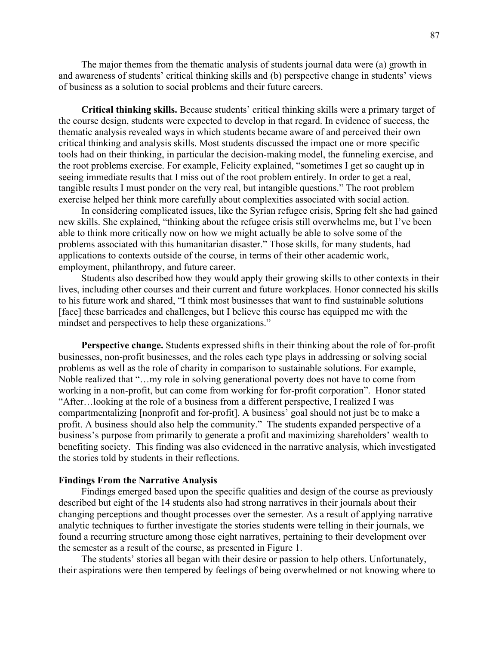The major themes from the thematic analysis of students journal data were (a) growth in and awareness of students' critical thinking skills and (b) perspective change in students' views of business as a solution to social problems and their future careers.

**Critical thinking skills.** Because students' critical thinking skills were a primary target of the course design, students were expected to develop in that regard. In evidence of success, the thematic analysis revealed ways in which students became aware of and perceived their own critical thinking and analysis skills. Most students discussed the impact one or more specific tools had on their thinking, in particular the decision-making model, the funneling exercise, and the root problems exercise. For example, Felicity explained, "sometimes I get so caught up in seeing immediate results that I miss out of the root problem entirely. In order to get a real, tangible results I must ponder on the very real, but intangible questions." The root problem exercise helped her think more carefully about complexities associated with social action.

In considering complicated issues, like the Syrian refugee crisis, Spring felt she had gained new skills. She explained, "thinking about the refugee crisis still overwhelms me, but I've been able to think more critically now on how we might actually be able to solve some of the problems associated with this humanitarian disaster." Those skills, for many students, had applications to contexts outside of the course, in terms of their other academic work, employment, philanthropy, and future career.

Students also described how they would apply their growing skills to other contexts in their lives, including other courses and their current and future workplaces. Honor connected his skills to his future work and shared, "I think most businesses that want to find sustainable solutions [face] these barricades and challenges, but I believe this course has equipped me with the mindset and perspectives to help these organizations."

**Perspective change.** Students expressed shifts in their thinking about the role of for-profit businesses, non-profit businesses, and the roles each type plays in addressing or solving social problems as well as the role of charity in comparison to sustainable solutions. For example, Noble realized that "…my role in solving generational poverty does not have to come from working in a non-profit, but can come from working for for-profit corporation". Honor stated "After…looking at the role of a business from a different perspective, I realized I was compartmentalizing [nonprofit and for-profit]. A business' goal should not just be to make a profit. A business should also help the community." The students expanded perspective of a business's purpose from primarily to generate a profit and maximizing shareholders' wealth to benefiting society. This finding was also evidenced in the narrative analysis, which investigated the stories told by students in their reflections.

#### **Findings From the Narrative Analysis**

Findings emerged based upon the specific qualities and design of the course as previously described but eight of the 14 students also had strong narratives in their journals about their changing perceptions and thought processes over the semester. As a result of applying narrative analytic techniques to further investigate the stories students were telling in their journals, we found a recurring structure among those eight narratives, pertaining to their development over the semester as a result of the course, as presented in Figure 1.

The students' stories all began with their desire or passion to help others. Unfortunately, their aspirations were then tempered by feelings of being overwhelmed or not knowing where to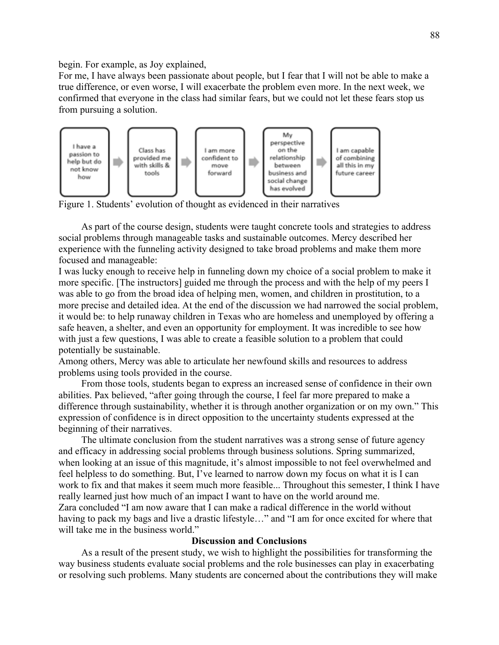begin. For example, as Joy explained,

For me, I have always been passionate about people, but I fear that I will not be able to make a true difference, or even worse, I will exacerbate the problem even more. In the next week, we confirmed that everyone in the class had similar fears, but we could not let these fears stop us from pursuing a solution.



Figure 1. Students' evolution of thought as evidenced in their narratives

As part of the course design, students were taught concrete tools and strategies to address social problems through manageable tasks and sustainable outcomes. Mercy described her experience with the funneling activity designed to take broad problems and make them more focused and manageable:

I was lucky enough to receive help in funneling down my choice of a social problem to make it more specific. [The instructors] guided me through the process and with the help of my peers I was able to go from the broad idea of helping men, women, and children in prostitution, to a more precise and detailed idea. At the end of the discussion we had narrowed the social problem, it would be: to help runaway children in Texas who are homeless and unemployed by offering a safe heaven, a shelter, and even an opportunity for employment. It was incredible to see how with just a few questions, I was able to create a feasible solution to a problem that could potentially be sustainable.

Among others, Mercy was able to articulate her newfound skills and resources to address problems using tools provided in the course.

From those tools, students began to express an increased sense of confidence in their own abilities. Pax believed, "after going through the course, I feel far more prepared to make a difference through sustainability, whether it is through another organization or on my own." This expression of confidence is in direct opposition to the uncertainty students expressed at the beginning of their narratives.

The ultimate conclusion from the student narratives was a strong sense of future agency and efficacy in addressing social problems through business solutions. Spring summarized, when looking at an issue of this magnitude, it's almost impossible to not feel overwhelmed and feel helpless to do something. But, I've learned to narrow down my focus on what it is I can work to fix and that makes it seem much more feasible... Throughout this semester, I think I have really learned just how much of an impact I want to have on the world around me. Zara concluded "I am now aware that I can make a radical difference in the world without having to pack my bags and live a drastic lifestyle…" and "I am for once excited for where that will take me in the business world."

# **Discussion and Conclusions**

As a result of the present study, we wish to highlight the possibilities for transforming the way business students evaluate social problems and the role businesses can play in exacerbating or resolving such problems. Many students are concerned about the contributions they will make